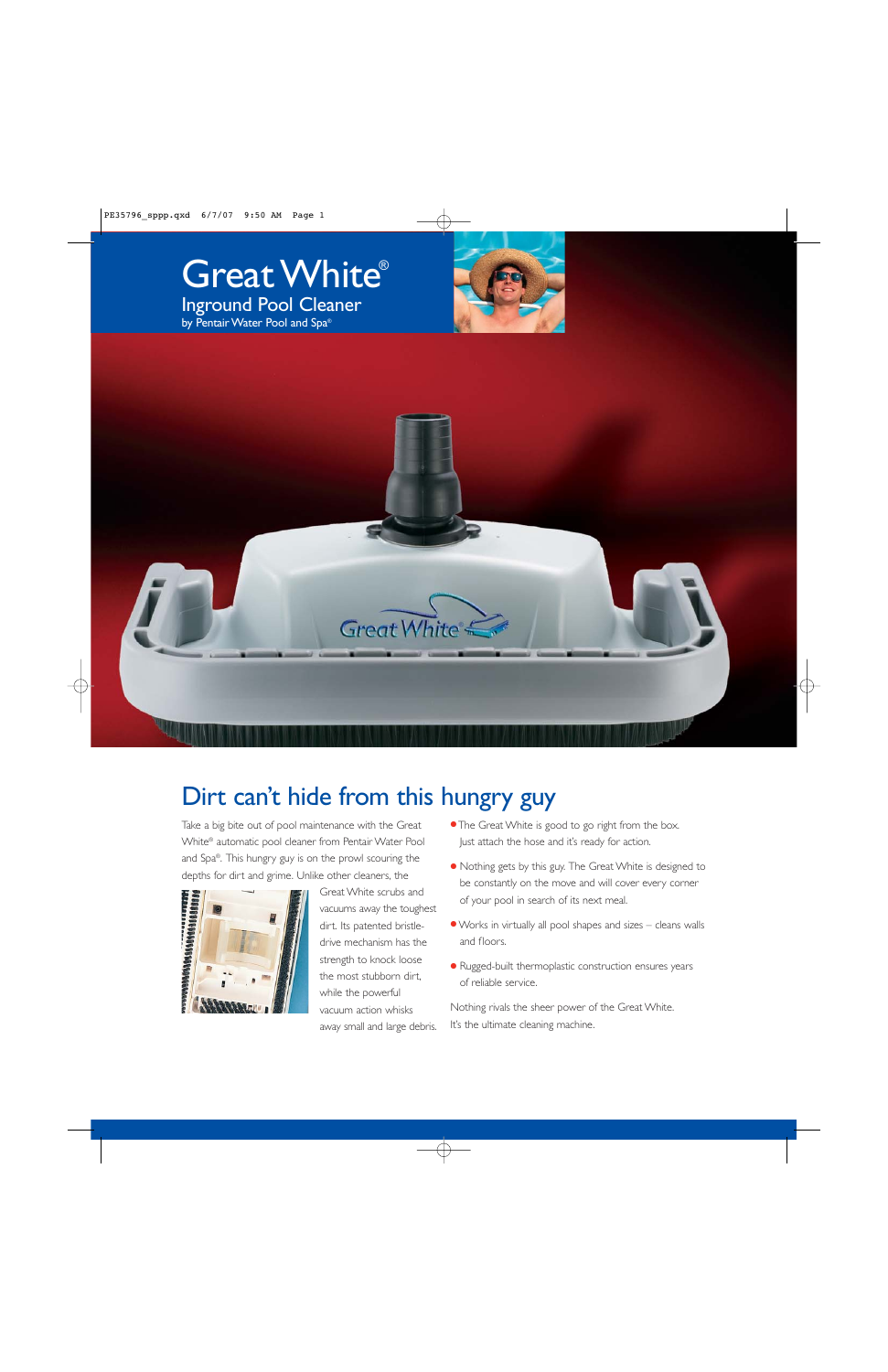





## Dirt can't hide from this hungry guy

Take a big bite out of pool maintenance with the Great White® automatic pool cleaner from Pentair Water Pool and Spa®. This hungry guy is on the prowl scouring the depths for dirt and grime. Unlike other cleaners, the



Great White scrubs and vacuums away the toughest dirt. Its patented bristledrive mechanism has the strength to knock loose the most stubborn dirt, while the powerful vacuum action whisks away small and large debris.

- The Great White is good to go right from the box. Just attach the hose and it's ready for action.
- Nothing gets by this guy. The Great White is designed to be constantly on the move and will cover every corner of your pool in search of its next meal.
- ●Works in virtually all pool shapes and sizes cleans walls and floors.
- Rugged-built thermoplastic construction ensures years of reliable service.

Nothing rivals the sheer power of the Great White. It's the ultimate cleaning machine.